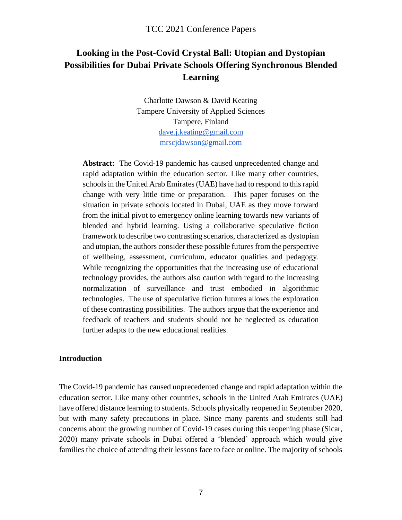# **Looking in the Post-Covid Crystal Ball: Utopian and Dystopian Possibilities for Dubai Private Schools Offering Synchronous Blended Learning**

Charlotte Dawson & David Keating Tampere University of Applied Sciences Tampere, Finland [dave.j.keating@gmail.com](mailto:dave.j.keating@gmail.com) [mrscjdawson@gmail.com](mailto:mrscjdawson@gmail.com)

**Abstract:** The Covid-19 pandemic has caused unprecedented change and rapid adaptation within the education sector. Like many other countries, schools in the United Arab Emirates (UAE) have had to respond to this rapid change with very little time or preparation. This paper focuses on the situation in private schools located in Dubai, UAE as they move forward from the initial pivot to emergency online learning towards new variants of blended and hybrid learning. Using a collaborative speculative fiction framework to describe two contrasting scenarios, characterized as dystopian and utopian, the authors consider these possible futures from the perspective of wellbeing, assessment, curriculum, educator qualities and pedagogy. While recognizing the opportunities that the increasing use of educational technology provides, the authors also caution with regard to the increasing normalization of surveillance and trust embodied in algorithmic technologies. The use of speculative fiction futures allows the exploration of these contrasting possibilities. The authors argue that the experience and feedback of teachers and students should not be neglected as education further adapts to the new educational realities.

#### **Introduction**

The Covid-19 pandemic has caused unprecedented change and rapid adaptation within the education sector. Like many other countries, schools in the United Arab Emirates (UAE) have offered distance learning to students. Schools physically reopened in September 2020, but with many safety precautions in place. Since many parents and students still had concerns about the growing number of Covid-19 cases during this reopening phase (Sicar, 2020) many private schools in Dubai offered a 'blended' approach which would give families the choice of attending their lessons face to face or online. The majority of schools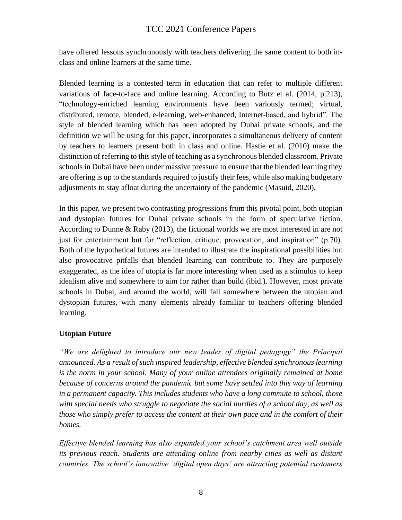have offered lessons synchronously with teachers delivering the same content to both inclass and online learners at the same time.

Blended learning is a contested term in education that can refer to multiple different variations of face-to-face and online learning. According to Butz et al. (2014, p.213), "technology-enriched learning environments have been variously termed; virtual, distributed, remote, blended, e-learning, web-enhanced, Internet-based, and hybrid". The style of blended learning which has been adopted by Dubai private schools, and the definition we will be using for this paper, incorporates a simultaneous delivery of content by teachers to learners present both in class and online. Hastie et al. (2010) make the distinction of referring to this style of teaching as a synchronous blended classroom. Private schools in Dubai have been under massive pressure to ensure that the blended learning they are offering is up to the standards required to justify their fees, while also making budgetary adjustments to stay afloat during the uncertainty of the pandemic (Masuid, 2020).

In this paper, we present two contrasting progressions from this pivotal point, both utopian and dystopian futures for Dubai private schools in the form of speculative fiction. According to Dunne & Raby (2013), the fictional worlds we are most interested in are not just for entertainment but for "reflection, critique, provocation, and inspiration" (p.70). Both of the hypothetical futures are intended to illustrate the inspirational possibilities but also provocative pitfalls that blended learning can contribute to. They are purposely exaggerated, as the idea of utopia is far more interesting when used as a stimulus to keep idealism alive and somewhere to aim for rather than build (ibid.). However, most private schools in Dubai, and around the world, will fall somewhere between the utopian and dystopian futures, with many elements already familiar to teachers offering blended learning.

#### **Utopian Future**

*"We are delighted to introduce our new leader of digital pedagogy" the Principal announced. As a result of such inspired leadership, effective blended synchronous learning is the norm in your school. Many of your online attendees originally remained at home because of concerns around the pandemic but some have settled into this way of learning in a permanent capacity. This includes students who have a long commute to school, those with special needs who struggle to negotiate the social hurdles of a school day, as well as those who simply prefer to access the content at their own pace and in the comfort of their homes.* 

*Effective blended learning has also expanded your school's catchment area well outside its previous reach. Students are attending online from nearby cities as well as distant countries. The school's innovative 'digital open days' are attracting potential customers*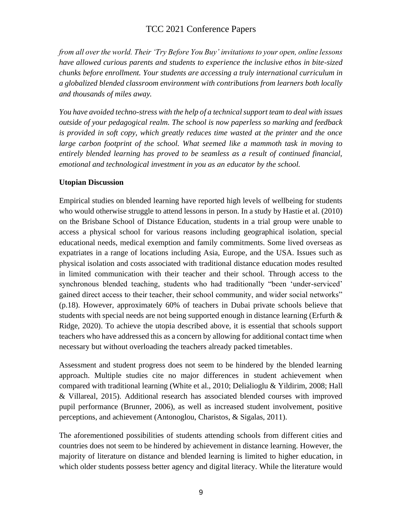*from all over the world. Their 'Try Before You Buy' invitations to your open, online lessons have allowed curious parents and students to experience the inclusive ethos in bite-sized chunks before enrollment. Your students are accessing a truly international curriculum in a globalized blended classroom environment with contributions from learners both locally and thousands of miles away.*

*You have avoided techno-stress with the help of a technical support team to deal with issues outside of your pedagogical realm. The school is now paperless so marking and feedback is provided in soft copy, which greatly reduces time wasted at the printer and the once*  large carbon footprint of the school. What seemed like a mammoth task in moving to *entirely blended learning has proved to be seamless as a result of continued financial, emotional and technological investment in you as an educator by the school.*

### **Utopian Discussion**

Empirical studies on blended learning have reported high levels of wellbeing for students who would otherwise struggle to attend lessons in person. In a study by Hastie et al. (2010) on the Brisbane School of Distance Education, students in a trial group were unable to access a physical school for various reasons including geographical isolation, special educational needs, medical exemption and family commitments. Some lived overseas as expatriates in a range of locations including Asia, Europe, and the USA. Issues such as physical isolation and costs associated with traditional distance education modes resulted in limited communication with their teacher and their school. Through access to the synchronous blended teaching, students who had traditionally "been 'under-serviced' gained direct access to their teacher, their school community, and wider social networks" (p.18). However, approximately 60% of teachers in Dubai private schools believe that students with special needs are not being supported enough in distance learning (Erfurth & Ridge, 2020). To achieve the utopia described above, it is essential that schools support teachers who have addressed this as a concern by allowing for additional contact time when necessary but without overloading the teachers already packed timetables.

Assessment and student progress does not seem to be hindered by the blended learning approach. Multiple studies cite no major differences in student achievement when compared with traditional learning (White et al., 2010; Delialioglu & Yildirim, 2008; Hall & Villareal, 2015). Additional research has associated blended courses with improved pupil performance (Brunner, 2006), as well as increased student involvement, positive perceptions, and achievement (Antonoglou, Charistos, & Sigalas, 2011).

The aforementioned possibilities of students attending schools from different cities and countries does not seem to be hindered by achievement in distance learning. However, the majority of literature on distance and blended learning is limited to higher education, in which older students possess better agency and digital literacy. While the literature would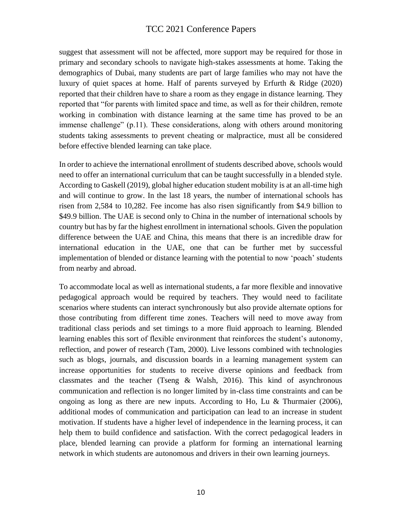suggest that assessment will not be affected, more support may be required for those in primary and secondary schools to navigate high-stakes assessments at home. Taking the demographics of Dubai, many students are part of large families who may not have the luxury of quiet spaces at home. Half of parents surveyed by Erfurth & Ridge (2020) reported that their children have to share a room as they engage in distance learning. They reported that "for parents with limited space and time, as well as for their children, remote working in combination with distance learning at the same time has proved to be an immense challenge" (p.11). These considerations, along with others around monitoring students taking assessments to prevent cheating or malpractice, must all be considered before effective blended learning can take place.

In order to achieve the international enrollment of students described above, schools would need to offer an international curriculum that can be taught successfully in a blended style. According to Gaskell (2019), global higher education student mobility is at an all-time high and will continue to grow. In the last 18 years, the number of international schools has risen from 2,584 to 10,282. Fee income has also risen significantly from \$4.9 billion to \$49.9 billion. The UAE is second only to China in the number of international schools by country but has by far the highest enrollment in international schools. Given the population difference between the UAE and China, this means that there is an incredible draw for international education in the UAE, one that can be further met by successful implementation of blended or distance learning with the potential to now 'poach' students from nearby and abroad.

To accommodate local as well as international students, a far more flexible and innovative pedagogical approach would be required by teachers. They would need to facilitate scenarios where students can interact synchronously but also provide alternate options for those contributing from different time zones. Teachers will need to move away from traditional class periods and set timings to a more fluid approach to learning. Blended learning enables this sort of flexible environment that reinforces the student's autonomy, reflection, and power of research (Tam, 2000). Live lessons combined with technologies such as blogs, journals, and discussion boards in a learning management system can increase opportunities for students to receive diverse opinions and feedback from classmates and the teacher (Tseng  $\&$  Walsh, 2016). This kind of asynchronous communication and reflection is no longer limited by in-class time constraints and can be ongoing as long as there are new inputs. According to Ho, Lu & Thurmaier (2006), additional modes of communication and participation can lead to an increase in student motivation. If students have a higher level of independence in the learning process, it can help them to build confidence and satisfaction. With the correct pedagogical leaders in place, blended learning can provide a platform for forming an international learning network in which students are autonomous and drivers in their own learning journeys.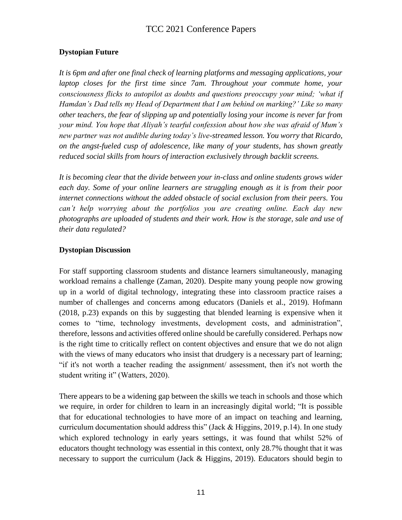### **Dystopian Future**

*It is 6pm and after one final check of learning platforms and messaging applications, your laptop closes for the first time since 7am. Throughout your commute home, your consciousness flicks to autopilot as doubts and questions preoccupy your mind; 'what if Hamdan's Dad tells my Head of Department that I am behind on marking?' Like so many other teachers, the fear of slipping up and potentially losing your income is never far from your mind. You hope that Aliyah's tearful confession about how she was afraid of Mum's new partner was not audible during today's live-streamed lesson. You worry that Ricardo, on the angst-fueled cusp of adolescence, like many of your students, has shown greatly reduced social skills from hours of interaction exclusively through backlit screens.* 

*It is becoming clear that the divide between your in-class and online students grows wider each day. Some of your online learners are struggling enough as it is from their poor internet connections without the added obstacle of social exclusion from their peers. You can't help worrying about the portfolios you are creating online. Each day new photographs are uploaded of students and their work. How is the storage, sale and use of their data regulated?* 

### **Dystopian Discussion**

For staff supporting classroom students and distance learners simultaneously, managing workload remains a challenge (Zaman, 2020). Despite many young people now growing up in a world of digital technology, integrating these into classroom practice raises a number of challenges and concerns among educators (Daniels et al., 2019). Hofmann (2018, p.23) expands on this by suggesting that blended learning is expensive when it comes to "time, technology investments, development costs, and administration", therefore, lessons and activities offered online should be carefully considered. Perhaps now is the right time to critically reflect on content objectives and ensure that we do not align with the views of many educators who insist that drudgery is a necessary part of learning; "if it's not worth a teacher reading the assignment/ assessment, then it's not worth the student writing it" (Watters, 2020).

There appears to be a widening gap between the skills we teach in schools and those which we require, in order for children to learn in an increasingly digital world; "It is possible that for educational technologies to have more of an impact on teaching and learning, curriculum documentation should address this" (Jack & Higgins, 2019, p.14). In one study which explored technology in early years settings, it was found that whilst 52% of educators thought technology was essential in this context, only 28.7% thought that it was necessary to support the curriculum (Jack & Higgins, 2019). Educators should begin to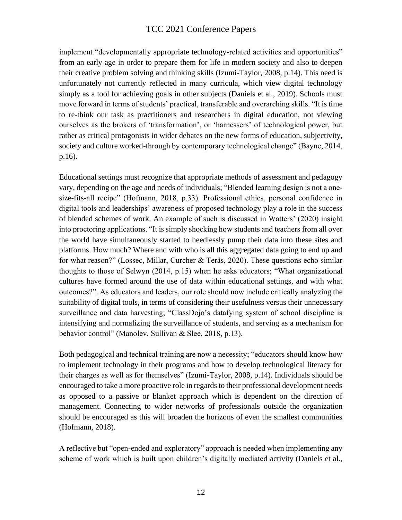implement "developmentally appropriate technology-related activities and opportunities" from an early age in order to prepare them for life in modern society and also to deepen their creative problem solving and thinking skills (Izumi-Taylor, 2008, p.14). This need is unfortunately not currently reflected in many curricula, which view digital technology simply as a tool for achieving goals in other subjects (Daniels et al., 2019). Schools must move forward in terms of students' practical, transferable and overarching skills. "It is time to re-think our task as practitioners and researchers in digital education, not viewing ourselves as the brokers of 'transformation', or 'harnessers' of technological power, but rather as critical protagonists in wider debates on the new forms of education, subjectivity, society and culture worked-through by contemporary technological change" (Bayne, 2014, p.16).

Educational settings must recognize that appropriate methods of assessment and pedagogy vary, depending on the age and needs of individuals; "Blended learning design is not a onesize-fits-all recipe" (Hofmann, 2018, p.33). Professional ethics, personal confidence in digital tools and leaderships' awareness of proposed technology play a role in the success of blended schemes of work. An example of such is discussed in Watters' (2020) insight into proctoring applications. "It is simply shocking how students and teachers from all over the world have simultaneously started to heedlessly pump their data into these sites and platforms. How much? Where and with who is all this aggregated data going to end up and for what reason?" (Lossec, Millar, Curcher & Teräs, 2020). These questions echo similar thoughts to those of Selwyn (2014, p.15) when he asks educators; "What organizational cultures have formed around the use of data within educational settings, and with what outcomes?". As educators and leaders, our role should now include critically analyzing the suitability of digital tools, in terms of considering their usefulness versus their unnecessary surveillance and data harvesting; "ClassDojo's datafying system of school discipline is intensifying and normalizing the surveillance of students, and serving as a mechanism for behavior control" (Manolev, Sullivan & Slee, 2018, p.13).

Both pedagogical and technical training are now a necessity; "educators should know how to implement technology in their programs and how to develop technological literacy for their charges as well as for themselves" (Izumi-Taylor, 2008, p.14). Individuals should be encouraged to take a more proactive role in regards to their professional development needs as opposed to a passive or blanket approach which is dependent on the direction of management. Connecting to wider networks of professionals outside the organization should be encouraged as this will broaden the horizons of even the smallest communities (Hofmann, 2018).

A reflective but "open-ended and exploratory" approach is needed when implementing any scheme of work which is built upon children's digitally mediated activity (Daniels et al.,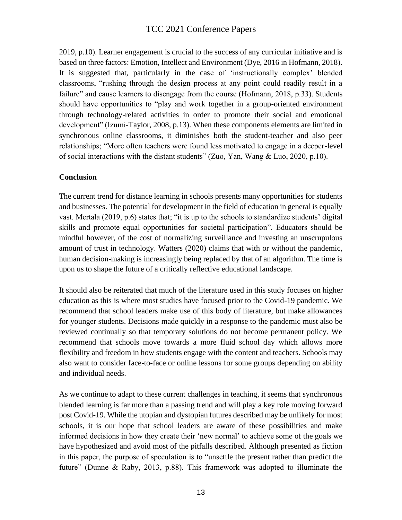2019, p.10). Learner engagement is crucial to the success of any curricular initiative and is based on three factors: Emotion, Intellect and Environment (Dye, 2016 in Hofmann, 2018). It is suggested that, particularly in the case of 'instructionally complex' blended classrooms, "rushing through the design process at any point could readily result in a failure" and cause learners to disengage from the course (Hofmann, 2018, p.33). Students should have opportunities to "play and work together in a group-oriented environment through technology-related activities in order to promote their social and emotional development" (Izumi-Taylor, 2008, p.13). When these components elements are limited in synchronous online classrooms, it diminishes both the student-teacher and also peer relationships; "More often teachers were found less motivated to engage in a deeper-level of social interactions with the distant students" (Zuo, Yan, Wang & Luo, 2020, p.10).

#### **Conclusion**

The current trend for distance learning in schools presents many opportunities for students and businesses. The potential for development in the field of education in general is equally vast. Mertala (2019, p.6) states that; "it is up to the schools to standardize students' digital skills and promote equal opportunities for societal participation". Educators should be mindful however, of the cost of normalizing surveillance and investing an unscrupulous amount of trust in technology. Watters (2020) claims that with or without the pandemic, human decision-making is increasingly being replaced by that of an algorithm. The time is upon us to shape the future of a critically reflective educational landscape.

It should also be reiterated that much of the literature used in this study focuses on higher education as this is where most studies have focused prior to the Covid-19 pandemic. We recommend that school leaders make use of this body of literature, but make allowances for younger students. Decisions made quickly in a response to the pandemic must also be reviewed continually so that temporary solutions do not become permanent policy. We recommend that schools move towards a more fluid school day which allows more flexibility and freedom in how students engage with the content and teachers. Schools may also want to consider face-to-face or online lessons for some groups depending on ability and individual needs.

As we continue to adapt to these current challenges in teaching, it seems that synchronous blended learning is far more than a passing trend and will play a key role moving forward post Covid-19. While the utopian and dystopian futures described may be unlikely for most schools, it is our hope that school leaders are aware of these possibilities and make informed decisions in how they create their 'new normal' to achieve some of the goals we have hypothesized and avoid most of the pitfalls described. Although presented as fiction in this paper, the purpose of speculation is to "unsettle the present rather than predict the future" (Dunne & Raby, 2013, p.88). This framework was adopted to illuminate the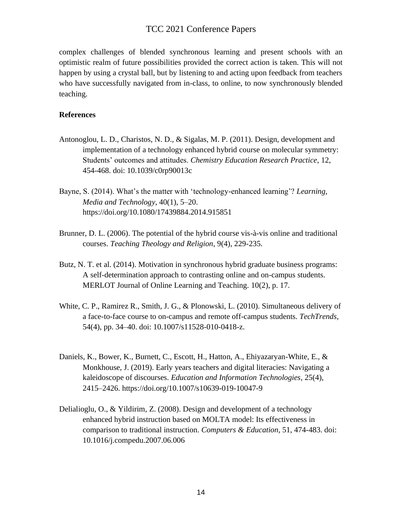complex challenges of blended synchronous learning and present schools with an optimistic realm of future possibilities provided the correct action is taken. This will not happen by using a crystal ball, but by listening to and acting upon feedback from teachers who have successfully navigated from in-class, to online, to now synchronously blended teaching.

#### **References**

- Antonoglou, L. D., Charistos, N. D., & Sigalas, M. P. (2011). Design, development and implementation of a technology enhanced hybrid course on molecular symmetry: Students' outcomes and attitudes. *Chemistry Education Research Practice*, 12, 454-468. doi: 10.1039/c0rp90013c
- Bayne, S. (2014). What's the matter with 'technology-enhanced learning'? *Learning, Media and Technology*, 40(1), 5–20. https://doi.org/10.1080/17439884.2014.915851
- Brunner, D. L. (2006). The potential of the hybrid course vis-à-vis online and traditional courses. *Teaching Theology and Religion*, 9(4), 229-235.
- Butz, N. T. et al. (2014). Motivation in synchronous hybrid graduate business programs: A self-determination approach to contrasting online and on-campus students. MERLOT Journal of Online Learning and Teaching. 10(2), p. 17.
- White, C. P., Ramirez R., Smith, J. G., & Plonowski, L. (2010). Simultaneous delivery of a face-to-face course to on-campus and remote off-campus students. *TechTrends*, 54(4), pp. 34–40. doi: 10.1007/s11528-010-0418-z.
- Daniels, K., Bower, K., Burnett, C., Escott, H., Hatton, A., Ehiyazaryan-White, E., & Monkhouse, J. (2019). Early years teachers and digital literacies: Navigating a kaleidoscope of discourses. *Education and Information Technologies*, 25(4), 2415–2426. https://doi.org/10.1007/s10639-019-10047-9
- Delialioglu, O., & Yildirim, Z. (2008). Design and development of a technology enhanced hybrid instruction based on MOLTA model: Its effectiveness in comparison to traditional instruction. *Computers & Education*, 51, 474-483. doi: 10.1016/j.compedu.2007.06.006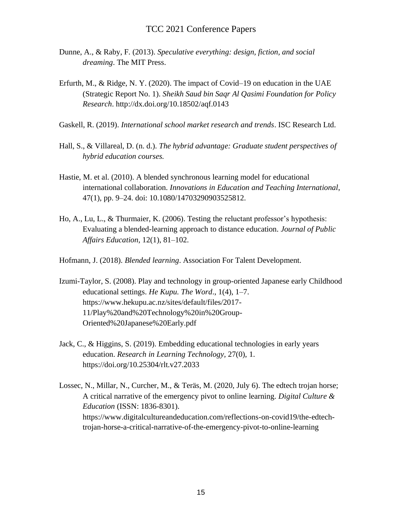- Dunne, A., & Raby, F. (2013). *Speculative everything: design, fiction, and social dreaming*. The MIT Press.
- Erfurth, M., & Ridge, N. Y. (2020). The impact of Covid–19 on education in the UAE (Strategic Report No. 1). *Sheikh Saud bin Saqr Al Qasimi Foundation for Policy Research*. http://dx.doi.org/10.18502/aqf.0143
- Gaskell, R. (2019). *International school market research and trends*. ISC Research Ltd.
- Hall, S., & Villareal, D. (n. d.). *The hybrid advantage: Graduate student perspectives of hybrid education courses.*
- Hastie, M. et al. (2010). A blended synchronous learning model for educational international collaboration. *Innovations in Education and Teaching International*, 47(1), pp. 9–24. doi: 10.1080/14703290903525812.
- Ho, A., Lu, L., & Thurmaier, K. (2006). Testing the reluctant professor's hypothesis: Evaluating a blended-learning approach to distance education. *Journal of Public Affairs Education*, 12(1), 81–102.
- Hofmann, J. (2018). *Blended learning*. Association For Talent Development.
- Izumi-Taylor, S. (2008). Play and technology in group-oriented Japanese early Childhood educational settings. *He Kupu. The Word*., 1(4), 1–7. https://www.hekupu.ac.nz/sites/default/files/2017- 11/Play%20and%20Technology%20in%20Group-Oriented%20Japanese%20Early.pdf
- Jack, C., & Higgins, S. (2019). Embedding educational technologies in early years education. *Research in Learning Technology,* 27(0), 1. https://doi.org/10.25304/rlt.v27.2033
- Lossec, N., Millar, N., Curcher, M., & Teräs, M. (2020, July 6). The edtech trojan horse; A critical narrative of the emergency pivot to online learning. *Digital Culture & Education* (ISSN: 1836-8301). https://www.digitalcultureandeducation.com/reflections-on-covid19/the-edtechtrojan-horse-a-critical-narrative-of-the-emergency-pivot-to-online-learning